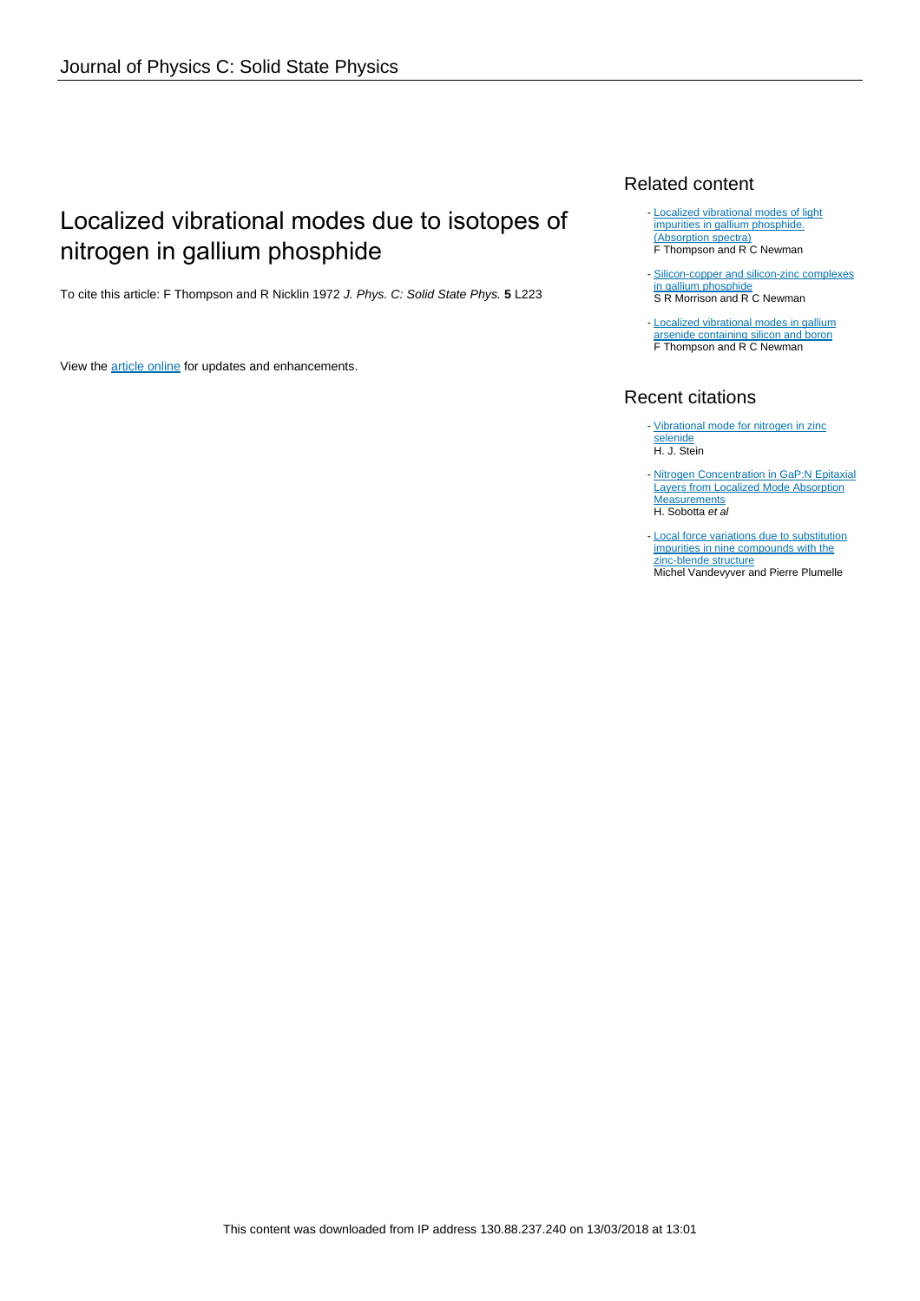# Localized vibrational modes due to isotopes of nitrogen in gallium phosphide

To cite this article: F Thompson and R Nicklin 1972 J. Phys. C: Solid State Phys. **5** L223

View the [article online](https://doi.org/10.1088/0022-3719/5/16/006) for updates and enhancements.

### Related content

- [Localized vibrational modes of light](http://iopscience.iop.org/article/10.1088/0022-3719/4/18/030) [impurities in gallium phosphide.](http://iopscience.iop.org/article/10.1088/0022-3719/4/18/030) [\(Absorption spectra\)](http://iopscience.iop.org/article/10.1088/0022-3719/4/18/030) F Thompson and R C Newman
- [Silicon-copper and silicon-zinc complexes](http://iopscience.iop.org/article/10.1088/0022-3719/7/3/017) [in gallium phosphide](http://iopscience.iop.org/article/10.1088/0022-3719/7/3/017) S R Morrison and R C Newman
- [Localized vibrational modes in gallium](http://iopscience.iop.org/article/10.1088/0022-3719/5/15/015) [arsenide containing silicon and boron](http://iopscience.iop.org/article/10.1088/0022-3719/5/15/015) **F Thompson and R C Newman**

## Recent citations

- [Vibrational mode for nitrogen in zinc](http://dx.doi.org/10.1063/1.111878) [selenide](http://dx.doi.org/10.1063/1.111878) H. J. Stein
- [Nitrogen Concentration in GaP:N Epitaxial](http://dx.doi.org/10.1002/pssa.2210890243) [Layers from Localized Mode Absorption](http://dx.doi.org/10.1002/pssa.2210890243) **[Measurements](http://dx.doi.org/10.1002/pssa.2210890243)** H. Sobotta et al
- [Local force variations due to substitution](http://dx.doi.org/10.1103/PhysRevB.17.675) [impurities in nine compounds with the](http://dx.doi.org/10.1103/PhysRevB.17.675) [zinc-blende structure](http://dx.doi.org/10.1103/PhysRevB.17.675) Michel Vandevyver and Pierre Plumelle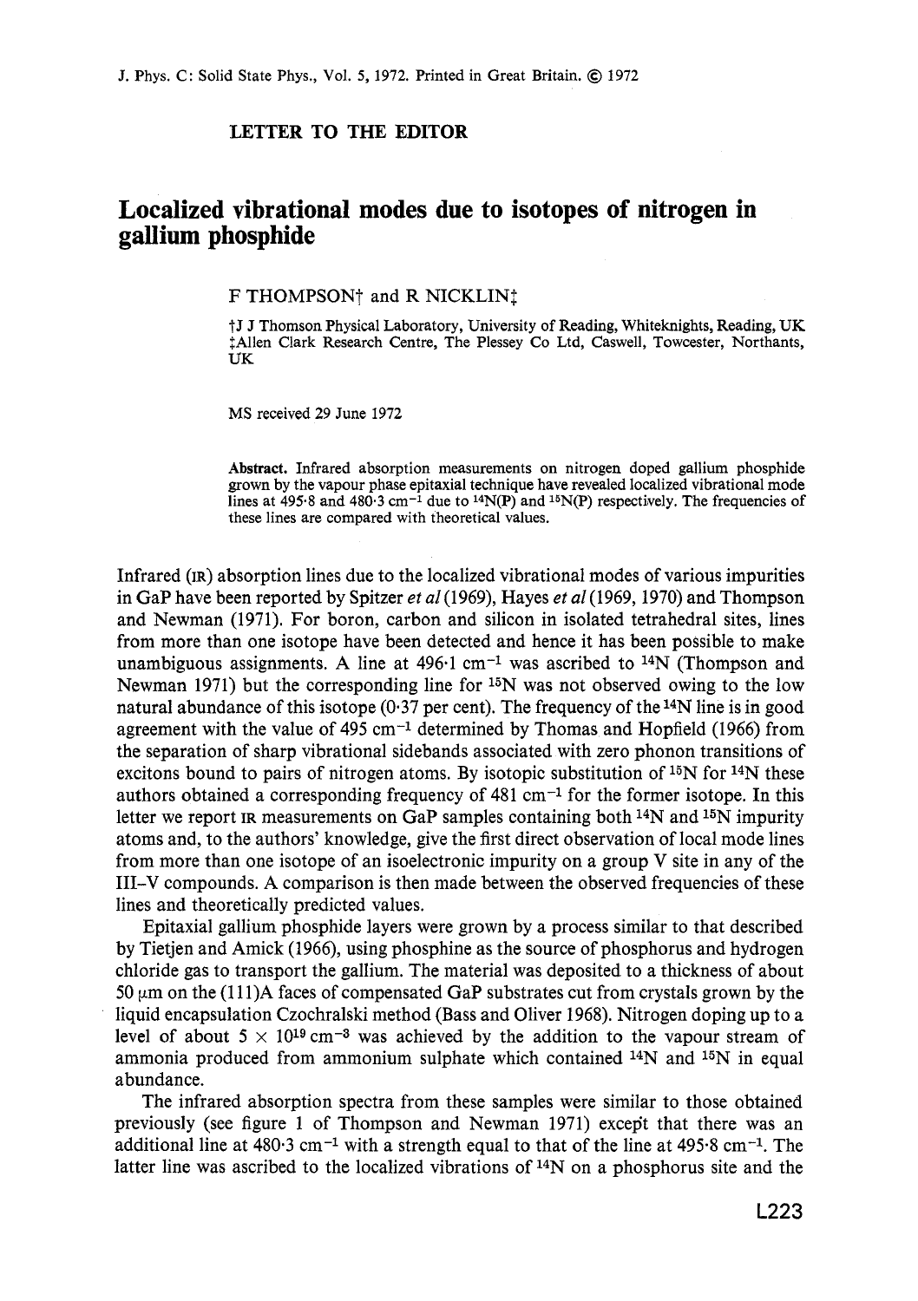#### **LETTER TO THE EDITOR**

## **Localized vibrational modes due to isotopes of nitrogen in gallium phosphide**

F THOMPSON<sup>†</sup> and R NICKLIN<sup>†</sup>

t **J J Thomson Physical Laboratory, University of Reading, Whiteknights, Reading, UK**   $\dagger$ Allen Clark Research Centre, The Plessey Co Ltd, Caswell, Towcester, Northants, **UK** 

**MS received 29 June 1972** 

**Abstract. Infrared absorption measurements on nitrogen doped gallium phosphide grown by the vapour phase epitaxial technique have revealed localized vibrational mode lines at 495.8 and 480.3 cm-1 due to 14N(P) and 15N(P) respectiwely. The frequencies of these lines are compared with theoretical values.** 

Infrared **(IR)** absorption lines due to the localized vibrational modes of various impurities in GaP have been reported by Spitzer *et al* (1969), Hayes *et al* (1969, 1970) and Thompson and Newman **(1971).** For boron, carbon and silicon in isolated tetrahedral sites, lines from more than one isotope have been detected and hence it has been possible to make unambiguous assignments. **A** line at **496.1** cm-1 was ascribed to I4N (Thompson and Newman **1971)** but the corresponding line for 15N was not observed owing to the low natural abundance of this isotope **(0.37** per cent). The frequency of the14N line is in good agreement with the value of **495** cm-1 determined by Thomas and Hopfield **(1966)** from the separation of sharp vibrational sidebands associated with zero phonon transitions of excitons bound to pairs of nitrogen atoms. By isotopic substitution of  $^{15}N$  for  $^{14}N$  these authors obtained a corresponding frequency of **481** cm-1 for the former isotope. In this letter we report **IR** measurements on GaP samples containing both 14N and 15N impurity atoms and, to the authors' knowledge, give the first direct observation of local mode lines from more than one isotope of an isoelectronic impurity on a group V site in any of the III-V compounds. **A** comparison is then made between the observed frequencies of these lines and theoretically predicted values.

Epitaxial gallium phosphide layers were grown by a process similar to that described by Tietjen and Amick **(1966),** using phosphine as the source of phosphorus and hydrogen chloride gas to transport the gallium. The material was deposited to a thickness of about 50  $\mu$ m on the (111)A faces of compensated GaP substrates cut from crystals grown by the liquid encapsulation Czochralski method (Bass and Oliver **1968).** Nitrogen doping up to a level of about  $5 \times 10^{19}$  cm<sup>-3</sup> was achieved by the addition to the vapour stream of ammonia produced from ammonium sulphate which contained  $^{14}N$  and  $^{15}N$  in equal abundance.

The infrared absorption spectra from these samples were similar to those obtained previously (see figure **1** of Thompson and Newman **1971)** except that there was an additional line at **480.3** cm-1 with a strength equal to that of the line at **495.8** cm-1. The latter line was ascribed to the localized vibrations of 14N on a phosphorus site and the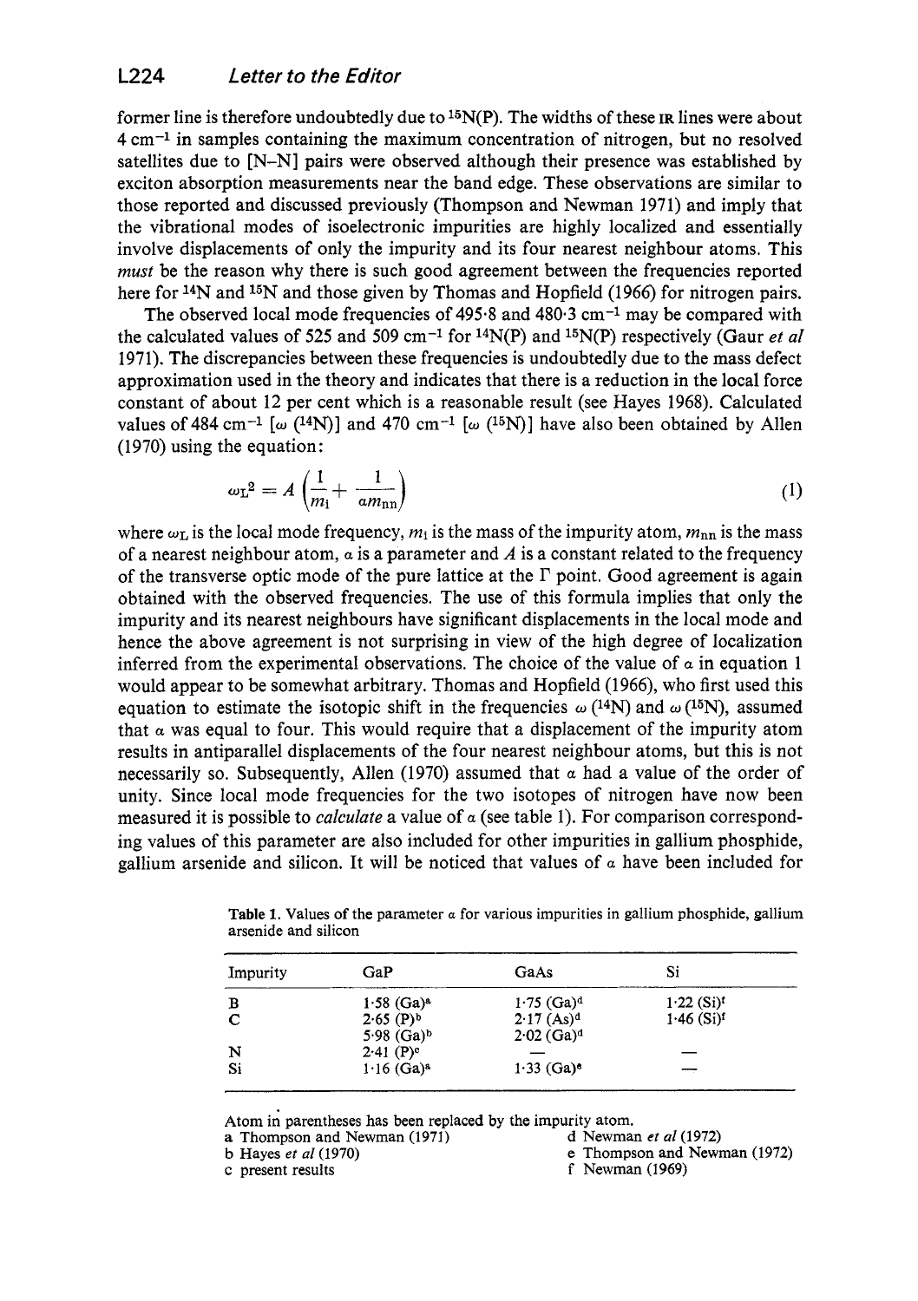former line is therefore undoubtedly due to I5N(P). The widths of these **IR** lines were about 4 cm-1 in samples containing the maximum concentration of nitrogen, but no resolved satellites due to [N-NI pairs were observed although their presence was established by exciton absorption measurements near the band edge. These observations are similar to those reported and discussed previously (Thompson and Newman 1971) and imply that the vibrational modes of isoelectronic impurities are highly localized and essentially involve displacements of only the impurity and its four nearest neighbour atoms. This *must* be the reason why there is such good agreement between the frequencies reported here for <sup>14</sup>N and <sup>15</sup>N and those given by Thomas and Hopfield (1966) for nitrogen pairs.

The observed local mode frequencies of  $495.8$  and  $480.3$  cm<sup>-1</sup> may be compared with the calculated values of 525 and 509 cm<sup>-1</sup> for <sup>14</sup>N(P) and <sup>15</sup>N(P) respectively (Gaur *et al* 1971). The discrepancies between these frequencies is undoubtedly due to the mass defect approximation used in the theory and indicates that there is a reduction in the local force constant of about 12 per cent which is a reasonable result (see Hayes 1968). Calculated values of 484 cm<sup>-1</sup> [w  $(^{14}N)$ ] and 470 cm<sup>-1</sup> [w  $(^{15}N)$ ] have also been obtained by Allen (1970) using the equation :

$$
\omega_{\rm L}^2 = A \left( \frac{1}{m_{\rm l}} + \frac{1}{a m_{\rm nn}} \right) \tag{1}
$$

where  $\omega_{\rm L}$  is the local mode frequency,  $m_i$  is the mass of the impurity atom,  $m_{\rm nn}$  is the mass of a nearest neighbour atom,  $\alpha$  is a parameter and A is a constant related to the frequency of the transverse optic mode of the pure lattice at the  $\Gamma$  point. Good agreement is again obtained with the observed frequencies. The use of this formula implies that only the impurity and its nearest neighbours have significant displacements in the local mode and hence the above agreement is not surprising in view of the high degree of localization inferred from the experimental observations. The choice of the value of  $\alpha$  in equation 1 would appear to be somewhat arbitrary. Thomas and Hopfield (1966), who first used this equation to estimate the isotopic shift in the frequencies  $\omega$  (<sup>14</sup>N) and  $\omega$  (<sup>15</sup>N), assumed that  $\alpha$  was equal to four. This would require that a displacement of the impurity atom results in antiparallel displacements of the four nearest neighbour atoms, but this is not necessarily so. Subsequently, Allen (1970) assumed that *a* had a value of the order of unity. Since local mode frequencies for the two isotopes of nitrogen have now been measured it is possible to *calculate* a value of *a* (see table 1). For comparison corresponding values of this parameter are also included for other impurities in gallium phosphide, gallium arsenide and silicon. It will be noticed that values of *a* have been included for

| Impurity | GaP                      | GaAs                     | Si                       |
|----------|--------------------------|--------------------------|--------------------------|
| в        | $1.58$ (Ga) <sup>a</sup> | $1.75$ (Ga) <sup>d</sup> | $1.22$ (Si) <sup>t</sup> |
|          | $2.65$ (P) <sup>b</sup>  | $2.17$ (As) <sup>d</sup> | $1.46$ (Si) <sup>f</sup> |
|          | $5.98$ (Ga) <sup>b</sup> | $2.02$ (Ga) <sup>d</sup> |                          |
| N        | $2.41$ (P) <sup>e</sup>  |                          |                          |
| Si       | $1.16$ (Ga) <sup>a</sup> | $1.33$ (Ga) <sup>e</sup> |                          |

**Table 1.** Values of the parameter *a* for various impurities in gallium phosphide, gallium arsenide and silicon

Atom in parentheses has been replaced by the impurity atom. a Thompson and Newman (1971)

b Hayes et al  $(1970)$ 

c present results

- d Newman et al  $(1972)$
- *e* Thompson **and** Newman (1972)
- f Newman (1969)